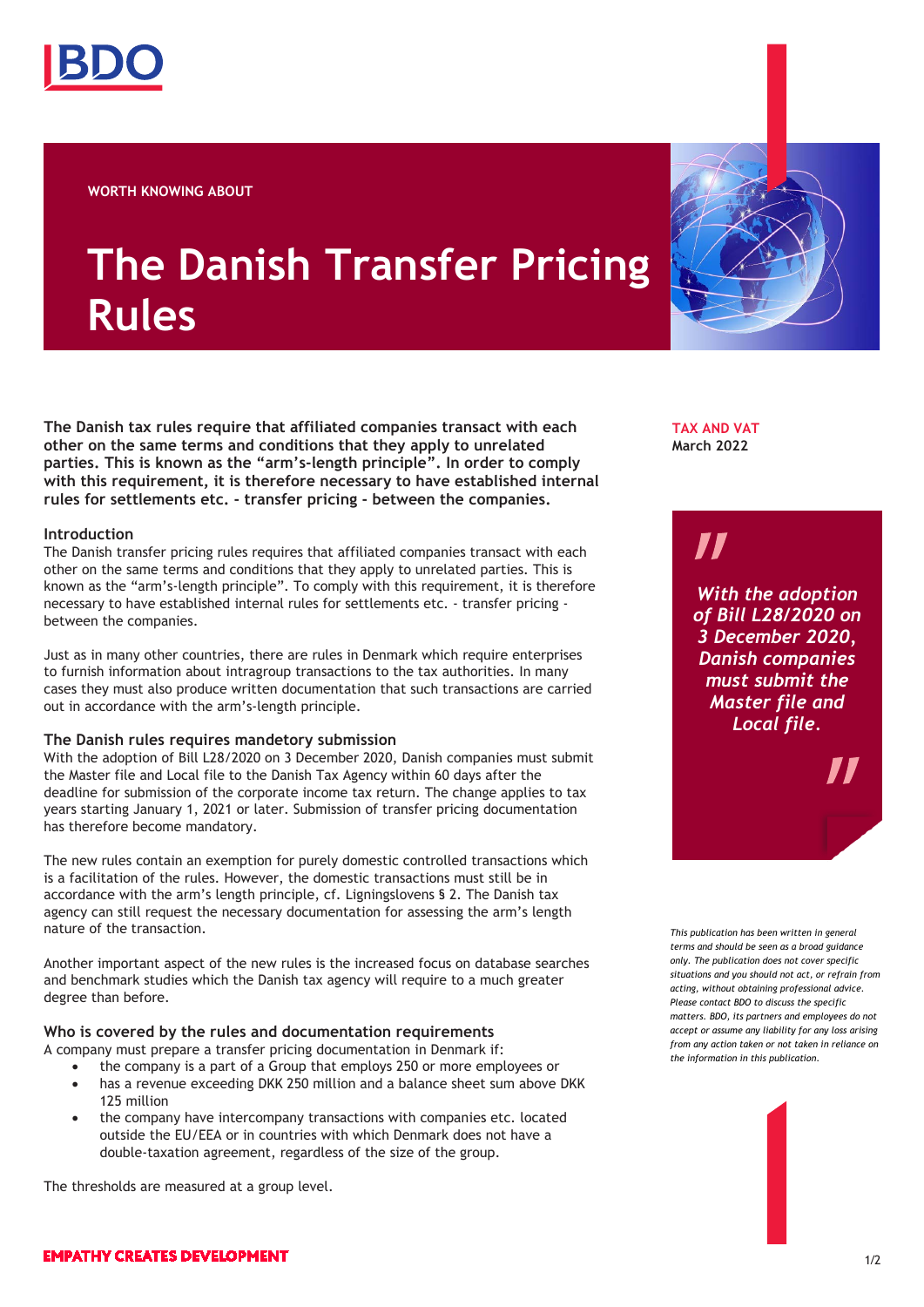

**WORTH KNOWING ABOUT**

# **The Danish Transfer Pricing Rules**

**The Danish tax rules require that affiliated companies transact with each other on the same terms and conditions that they apply to unrelated parties. This is known as the "arm's-length principle". In order to comply with this requirement, it is therefore necessary to have established internal rules for settlements etc. - transfer pricing - between the companies.**

### **Introduction**

The Danish transfer pricing rules requires that affiliated companies transact with each other on the same terms and conditions that they apply to unrelated parties. This is known as the "arm's-length principle". To comply with this requirement, it is therefore necessary to have established internal rules for settlements etc. - transfer pricing between the companies.

Just as in many other countries, there are rules in Denmark which require enterprises to furnish information about intragroup transactions to the tax authorities. In many cases they must also produce written documentation that such transactions are carried out in accordance with the arm's-length principle.

## **The Danish rules requires mandetory submission**

With the adoption of Bill L28/2020 on 3 December 2020, Danish companies must submit the Master file and Local file to the Danish Tax Agency within 60 days after the deadline for submission of the corporate income tax return. The change applies to tax years starting January 1, 2021 or later. Submission of transfer pricing documentation has therefore become mandatory.

The new rules contain an exemption for purely domestic controlled transactions which is a facilitation of the rules. However, the domestic transactions must still be in accordance with the arm's length principle, cf. Ligningslovens § 2. The Danish tax agency can still request the necessary documentation for assessing the arm's length nature of the transaction.

Another important aspect of the new rules is the increased focus on database searches and benchmark studies which the Danish tax agency will require to a much greater degree than before.

## **Who is covered by the rules and documentation requirements**

A company must prepare a transfer pricing documentation in Denmark if:

- the company is a part of a Group that employs 250 or more employees or • has a revenue exceeding DKK 250 million and a balance sheet sum above DKK
- 125 million • the company have intercompany transactions with companies etc. located outside the EU/EEA or in countries with which Denmark does not have a double-taxation agreement, regardless of the size of the group.

The thresholds are measured at a group level.

**TAX AND VAT March 2022**

# 71

*With the adoption of Bill L28/2020 on 3 December 2020, Danish companies must submit the Master file and Local file.*

*This publication has been written in general terms and should be seen as a broad guidance only. The publication does not cover specific situations and you should not act, or refrain from acting, without obtaining professional advice. Please contact BDO to discuss the specific matters. BDO, its partners and employees do not accept or assume any liability for any loss arising from any action taken or not taken in reliance on the information in this publication.*